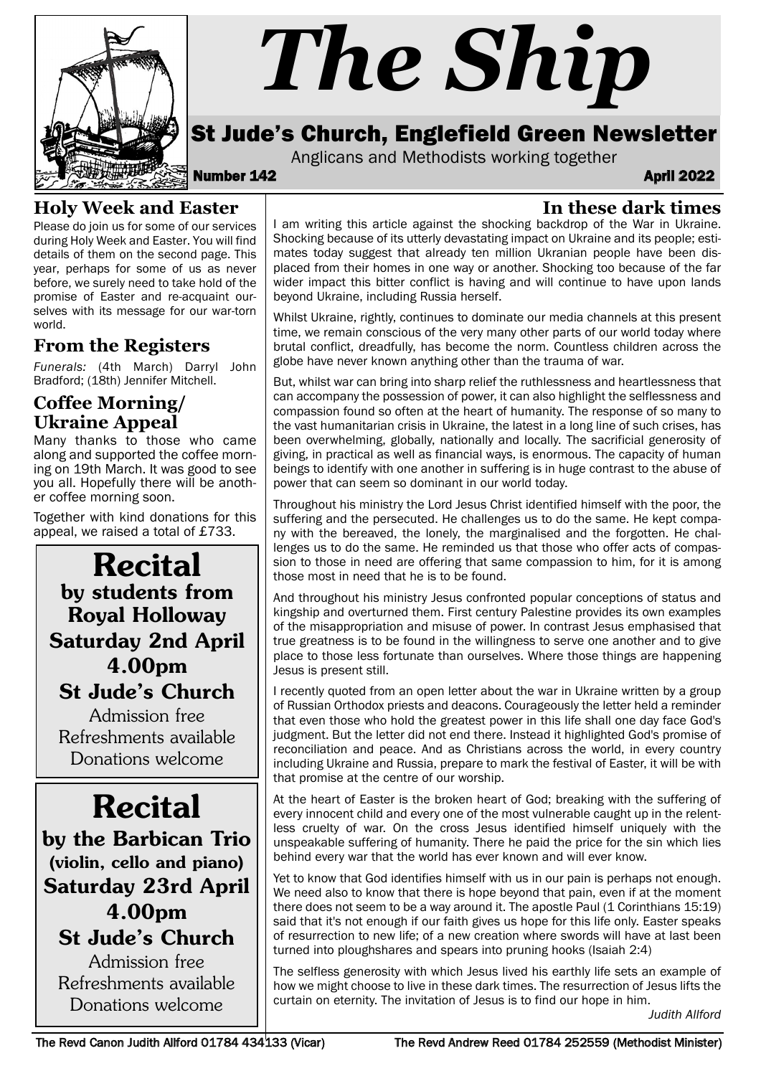

# *The Ship*

### St Jude's Church, Englefield Green Newsletter

Anglicans and Methodists working together<br>**April 2022** April 2022

**In these dark times**

#### **Holy Week and Easter**

Please do join us for some of our services during Holy Week and Easter. You will find details of them on the second page. This year, perhaps for some of us as never before, we surely need to take hold of the promise of Easter and re-acquaint ourselves with its message for our war-torn world.

#### **From the Registers**

*Funerals:* (4th March) Darryl John Bradford; (18th) Jennifer Mitchell.

#### **Coffee Morning/ Ukraine Appeal**

Many thanks to those who came along and supported the coffee morning on 19th March. It was good to see you all. Hopefully there will be another coffee morning soon.

Together with kind donations for this appeal, we raised a total of £733.

Recital by students from Royal Holloway Saturday 2nd April 4.00pm St Jude's Church

Admission free Refreshments available Donations welcome

## Recital

by the Barbican Trio (violin, cello and piano) Saturday 23rd April 4.00pm St Jude's Church

Admission free Refreshments available Donations welcome

I am writing this article against the shocking backdrop of the War in Ukraine. Shocking because of its utterly devastating impact on Ukraine and its people; estimates today suggest that already ten million Ukranian people have been displaced from their homes in one way or another. Shocking too because of the far wider impact this bitter conflict is having and will continue to have upon lands beyond Ukraine, including Russia herself.

Whilst Ukraine, rightly, continues to dominate our media channels at this present time, we remain conscious of the very many other parts of our world today where brutal conflict, dreadfully, has become the norm. Countless children across the globe have never known anything other than the trauma of war.

But, whilst war can bring into sharp relief the ruthlessness and heartlessness that can accompany the possession of power, it can also highlight the selflessness and compassion found so often at the heart of humanity. The response of so many to the vast humanitarian crisis in Ukraine, the latest in a long line of such crises, has been overwhelming, globally, nationally and locally. The sacrificial generosity of giving, in practical as well as financial ways, is enormous. The capacity of human beings to identify with one another in suffering is in huge contrast to the abuse of power that can seem so dominant in our world today.

Throughout his ministry the Lord Jesus Christ identified himself with the poor, the suffering and the persecuted. He challenges us to do the same. He kept company with the bereaved, the lonely, the marginalised and the forgotten. He challenges us to do the same. He reminded us that those who offer acts of compassion to those in need are offering that same compassion to him, for it is among those most in need that he is to be found.

And throughout his ministry Jesus confronted popular conceptions of status and kingship and overturned them. First century Palestine provides its own examples of the misappropriation and misuse of power. In contrast Jesus emphasised that true greatness is to be found in the willingness to serve one another and to give place to those less fortunate than ourselves. Where those things are happening Jesus is present still.

I recently quoted from an open letter about the war in Ukraine written by a group of Russian Orthodox priests and deacons. Courageously the letter held a reminder that even those who hold the greatest power in this life shall one day face God's judgment. But the letter did not end there. Instead it highlighted God's promise of reconciliation and peace. And as Christians across the world, in every country including Ukraine and Russia, prepare to mark the festival of Easter, it will be with that promise at the centre of our worship.

At the heart of Easter is the broken heart of God; breaking with the suffering of every innocent child and every one of the most vulnerable caught up in the relentless cruelty of war. On the cross Jesus identified himself uniquely with the unspeakable suffering of humanity. There he paid the price for the sin which lies behind every war that the world has ever known and will ever know.

Yet to know that God identifies himself with us in our pain is perhaps not enough. We need also to know that there is hope beyond that pain, even if at the moment there does not seem to be a way around it. The apostle Paul (1 Corinthians 15:19) said that it's not enough if our faith gives us hope for this life only. Easter speaks of resurrection to new life; of a new creation where swords will have at last been turned into ploughshares and spears into pruning hooks (Isaiah 2:4)

The selfless generosity with which Jesus lived his earthly life sets an example of how we might choose to live in these dark times. The resurrection of Jesus lifts the curtain on eternity. The invitation of Jesus is to find our hope in him.

*Judith Allford*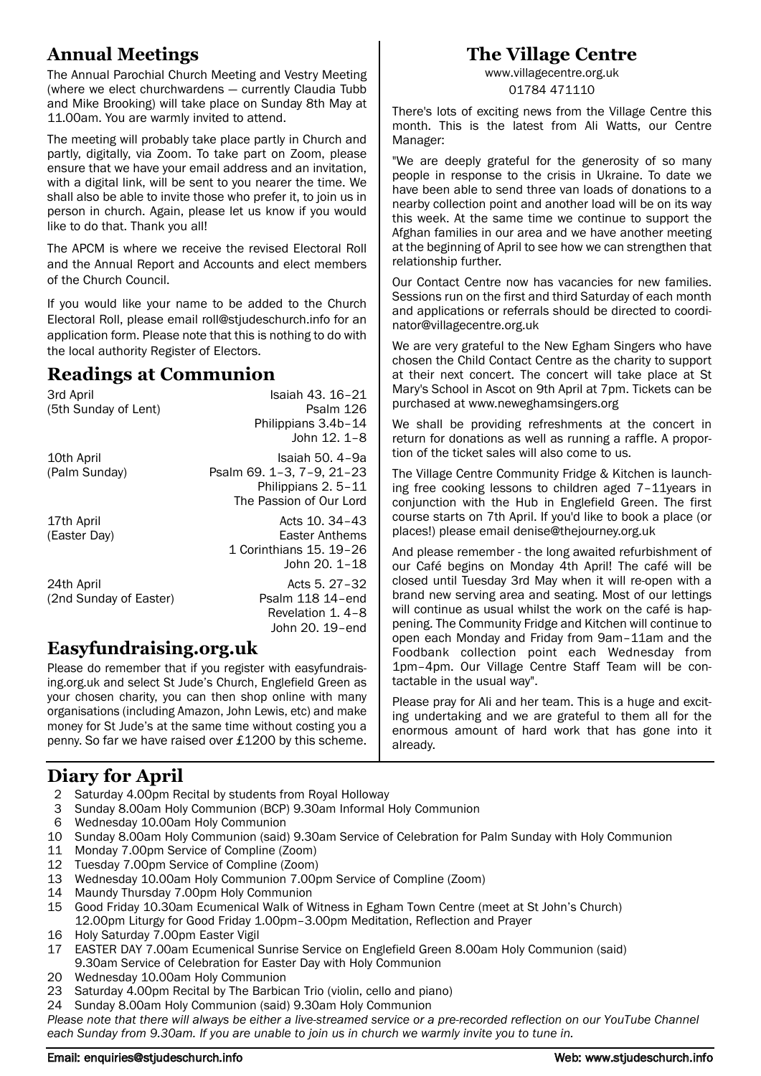#### **Annual Meetings**

The Annual Parochial Church Meeting and Vestry Meeting (where we elect churchwardens — currently Claudia Tubb and Mike Brooking) will take place on Sunday 8th May at 11.00am. You are warmly invited to attend.

The meeting will probably take place partly in Church and partly, digitally, via Zoom. To take part on Zoom, please ensure that we have your email address and an invitation, with a digital link, will be sent to you nearer the time. We shall also be able to invite those who prefer it, to join us in person in church. Again, please let us know if you would like to do that. Thank you all!

The APCM is where we receive the revised Electoral Roll and the Annual Report and Accounts and elect members of the Church Council.

If you would like your name to be added to the Church Electoral Roll, please email roll@stjudeschurch.info for an application form. Please note that this is nothing to do with the local authority Register of Electors.

#### **Readings at Communion**

| 3rd April              | Isaiah 43, 16-21          |
|------------------------|---------------------------|
| (5th Sunday of Lent)   | Psalm 126                 |
|                        | Philippians 3.4b-14       |
|                        | John 12, 1-8              |
| 10th April             | Isaiah 50, 4-9a           |
| (Palm Sunday)          | Psalm 69. 1-3, 7-9, 21-23 |
|                        | Philippians 2.5-11        |
|                        | The Passion of Our Lord   |
| 17th April             | Acts 10, 34-43            |
| (Easter Day)           | Easter Anthems            |
|                        | 1 Corinthians 15. 19-26   |
|                        | John 20. 1-18             |
| 24th April             | Acts 5, 27-32             |
| (2nd Sunday of Easter) | Psalm 118 14-end          |
|                        | Revelation 1, 4-8         |
|                        | John 20. 19-end           |
|                        |                           |

#### **Easyfundraising.org.uk**

Please do remember that if you register with easyfundraising.org.uk and select St Jude's Church, Englefield Green as your chosen charity, you can then shop online with many organisations (including Amazon, John Lewis, etc) and make money for St Jude's at the same time without costing you a penny. So far we have raised over £1200 by this scheme.

#### **The Village Centre**

www.villagecentre.org.uk 01784 471110

There's lots of exciting news from the Village Centre this month. This is the latest from Ali Watts, our Centre Manager:

"We are deeply grateful for the generosity of so many people in response to the crisis in Ukraine. To date we have been able to send three van loads of donations to a nearby collection point and another load will be on its way this week. At the same time we continue to support the Afghan families in our area and we have another meeting at the beginning of April to see how we can strengthen that relationship further.

Our Contact Centre now has vacancies for new families. Sessions run on the first and third Saturday of each month and applications or referrals should be directed to coordinator@villagecentre.org.uk

We are very grateful to the New Egham Singers who have chosen the Child Contact Centre as the charity to support at their next concert. The concert will take place at St Mary's School in Ascot on 9th April at 7pm. Tickets can be purchased at www.neweghamsingers.org

We shall be providing refreshments at the concert in return for donations as well as running a raffle. A proportion of the ticket sales will also come to us.

The Village Centre Community Fridge & Kitchen is launching free cooking lessons to children aged 7–11years in conjunction with the Hub in Englefield Green. The first course starts on 7th April. If you'd like to book a place (or places!) please email denise@thejourney.org.uk

And please remember - the long awaited refurbishment of our Café begins on Monday 4th April! The café will be closed until Tuesday 3rd May when it will re-open with a brand new serving area and seating. Most of our lettings will continue as usual whilst the work on the café is happening. The Community Fridge and Kitchen will continue to open each Monday and Friday from 9am–11am and the Foodbank collection point each Wednesday from 1pm–4pm. Our Village Centre Staff Team will be contactable in the usual way".

Please pray for Ali and her team. This is a huge and exciting undertaking and we are grateful to them all for the enormous amount of hard work that has gone into it already.

#### **Diary for April**

- 2 Saturday 4.00pm Recital by students from Royal Holloway<br>3 Sunday 8.00am Holy Communion (BCP) 9.30am Informal I
- 3 Sunday 8.00am Holy Communion (BCP) 9.30am Informal Holy Communion
- 6 Wednesday 10.00am Holy Communion
- 10 Sunday 8.00am Holy Communion (said) 9.30am Service of Celebration for Palm Sunday with Holy Communion
- 11 Monday 7.00pm Service of Compline (Zoom)
- 12 Tuesday 7.00pm Service of Compline (Zoom)
- 13 Wednesday 10.00am Holy Communion 7.00pm Service of Compline (Zoom)
- 14 Maundy Thursday 7.00pm Holy Communion
- 15 Good Friday 10.30am Ecumenical Walk of Witness in Egham Town Centre (meet at St John's Church) 12.00pm Liturgy for Good Friday 1.00pm–3.00pm Meditation, Reflection and Prayer
- 16 Holy Saturday 7.00pm Easter Vigil
- 17 EASTER DAY 7.00am Ecumenical Sunrise Service on Englefield Green 8.00am Holy Communion (said) 9.30am Service of Celebration for Easter Day with Holy Communion
- 20 Wednesday 10.00am Holy Communion
- 23 Saturday 4.00pm Recital by The Barbican Trio (violin, cello and piano)
- 24 Sunday 8.00am Holy Communion (said) 9.30am Holy Communion

*Please note that there will always be either a live-streamed service or a pre-recorded reflection on our YouTube Channel each Sunday from 9.30am. If you are unable to join us in church we warmly invite you to tune in.*